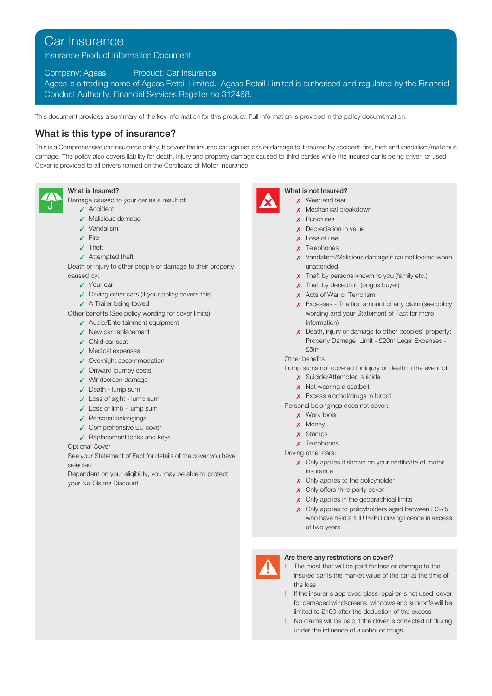# Car Insurance

Insurance Product Information Document

Company: Ageas Product: Car Insurance

Ageas is a trading name of Ageas Retail Limited. Ageas Retail Limited is authorised and regulated by the Financial Conduct Authority. Financial Services Register no 312468.

This document provides a summary of the key information for this product. Full information is provided in the policy documentation.

## What is this type of insurance?

This is a Comprehensive car insurance policy. It covers the insured car against loss or damage to it caused by accident, fire, theft and vandalism/malicious damage. The policy also covers liability for death, injury and property damage caused to third parties while the insured car is being driven or used. Cover is provided to all drivers named on the Certificate of Motor Insurance.



Damage caused to your car as a result of:  $\mathbf x$  Wear and tear

- 
- ✓ Malicious damage ✗ Punctures
- 
- 
- 
- 

Death or injury to other people or damage to their property and the state of the unattended caused by:  $\boldsymbol{\chi}$  Theft by persons known to you (family etc.)

- 
- ✓ Driving other cars (If your policy covers this) ✗ Acts of War or Terrorism
- 
- Other benefits (See policy wording for cover limits):
	- ✓ Audio/Entertainment equipment
	- ✓ New car replacement
	- ✓ Child car seat
	- ✓ Medical expenses
	- ✓ Overnight accommodation
	- ✓ Onward journey costs
	-
	-
	- ✗ Excess alcohol/drugs in blood ✓ Loss of sight lump sum
	-
	- v Personal belongings and the contract of the contract of the contract of the contract of the contract of the contract of the contract of the contract of the contract of the contract of the contract of the contract of the
	- **✓ Comprehensive EU cover**<br> **∠ Money** *τ* Money *x* **Stamps**
	- √ Replacement locks and keys<br>
	is a complete the set of the set of the set of the set of the set of the set of the set of the set of the set

### **Optional Cover**

See your Statement of Fact for details of the cover you have selected

insurance<br>Dependent on your eligibility, you may be able to protect in the state of the state of the state of the state o your No Claims Discount  $\lambda$  Only applies to the policyholder



## What is Insured? What is not Insured?

- 
- ✓ Accident ✗ Mechanical breakdown
	-
- ✓ Vandalism ✗ Depreciation in value
- $\sqrt{ }$  Fire  $\sqrt{ }$  Loss of use
- $\checkmark$  Theft  $\checkmark$  Theft  $\checkmark$  Theft  $\checkmark$  Theft  $\checkmark$  Theft  $\checkmark$  Theft  $\checkmark$  Theft  $\checkmark$  Theft  $\checkmark$  Theoretics  $\checkmark$  Theoretics  $\checkmark$  Theoretics  $\checkmark$  Theoretics  $\checkmark$  Theoretics  $\checkmark$  Theoretics  $\checkmark$  Theoretics  $\checkmark$
- ✓ Attempted theft ✗ Vandalism/Malicious damage if car not locked when
	-
	-
	-
	- wording and your Statement of Fact for more information)
	- Property Damage Limit £20m Legal Expenses -

Lump sums not covered for injury or death in the event of:

- **∕** Windscreen damage **ται το παρασία του και το παρασία του και το κατασία και το κατασία και το κατασία και το κατασία και το κατασία και το κατασία και το κατασία και το κατασία και το κατασία και το κατασία και το κατ** 
	-
- y Death lump sum<br>
y Death lump sum<br>
y Excess alcohol/drugs in blood

Personal belongings does not cover: ✓ Loss of limb - lump sum

- 
- 
- 
- 

Driving other cars:

- x Only applies if shown on your certificate of motor
- 
- **x** Only offers third party cover
- x Only applies in the geographical limits
- x Only applies to policyholders aged between 30-75 who have held a full UK/EU driving licence in excess of two years



- ! The most that will be paid for loss or damage to the insured car is the market value of the car at the time of the loss
- If the insurer's approved glass repairer is not used, cover for damaged windscreens, windows and sunroofs will be limited to £100 after the deduction of the excess
- ! No claims will be paid if the driver is convicted of driving under the influence of alcohol or drugs

- -
	-
	-
	-
	-
	-
	-
- ✓ Your car ✗ Theft by deception (bogus buyer)
	-
- ✓ A Trailer being towed ✗ Excesses The first amount of any claim (see policy
	- ✗ Death, injury or damage to other peoples' property: £5m

## Other benefits